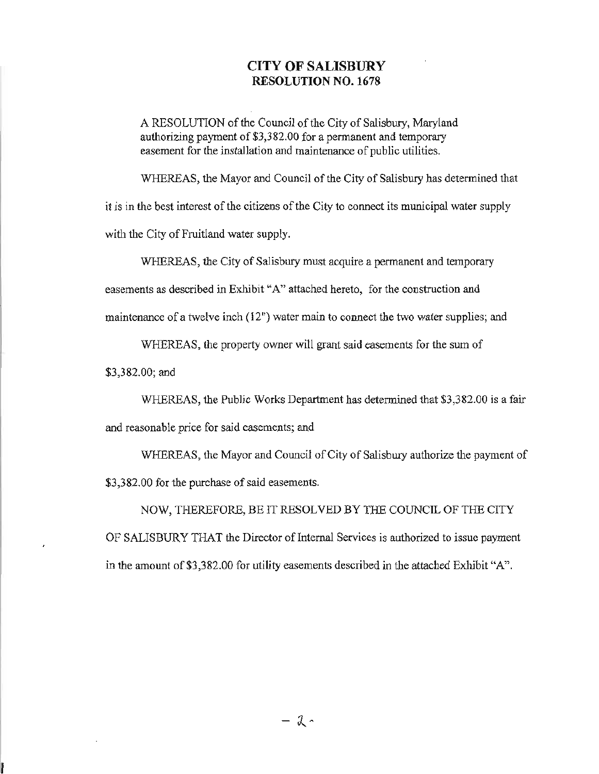## **CITY OF SALISBURY RESOLUTION NO. 1678**

A RESOLUTION of the Council of the City of Salisbury, Maryland authorizing payment of \$3,382.00 for a permanent and temporary easement for the installation and maintenance of public utilities.

WHEREAS, the Mayor and Council of the City of Salisbury has determined that it is in the best interest of the citizens of the City to connect its municipal water supply with the City of Fruitland water supply.

WHEREAS, the City of Salisbury must acquire a permanent and temporary easements as described in Exhibit "A" attached hereto, for the construction and maintenance of a twelve inch  $(12<sup>n</sup>)$  water main to connect the two water supplies; and

WHEREAS, the property owner will grant said easements for the sum of

\$3,382.00; and

WHEREAS, the Public Works Department has determined that \$3,382.00 is a fair and reasonable price for said easements; and

WHEREAS, the Mayor and Council of City of Salisbury authorize the payment of \$3,382.00 for the purchase of said easements.

NOW, THEREFORE, BE IT RESOLVED BY THE COUNCIL OF THE CITY OF SALISBURY THAT the Director of Intemal Services is authorized to issue payment in the amount of \$3,382.00 for utility easements described in the attached Exhibit "A".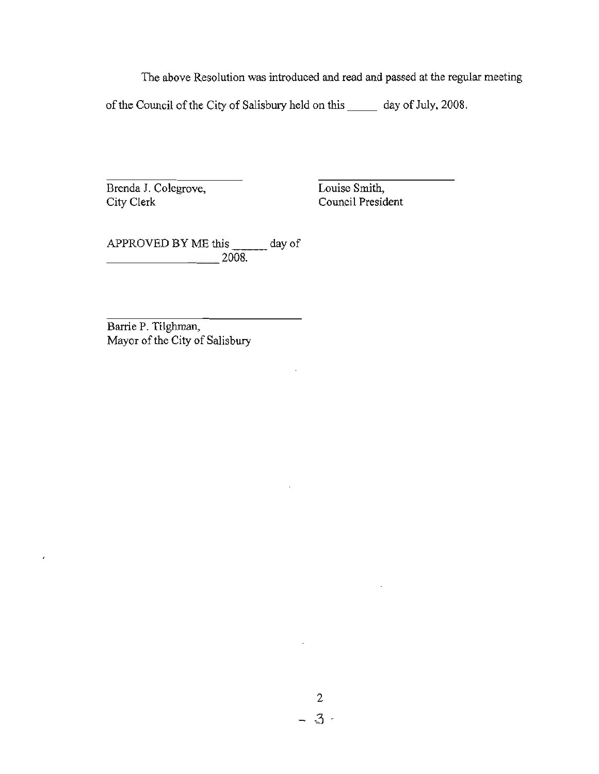The above Resolution was introduced and read and passed at the regular meeting

of the Council of the City of Salisbury held on this \_\_\_\_\_\_ day of July, 2008.

Brenda J. Colegrove, City Clerk

Louise Smith, Council President

APPROVED BY ME this \_\_\_\_\_\_\_ day of \_\_\_\_\_\_\_ 2008.

Barrie P. Tilghman, Mayor of the City of Salisbury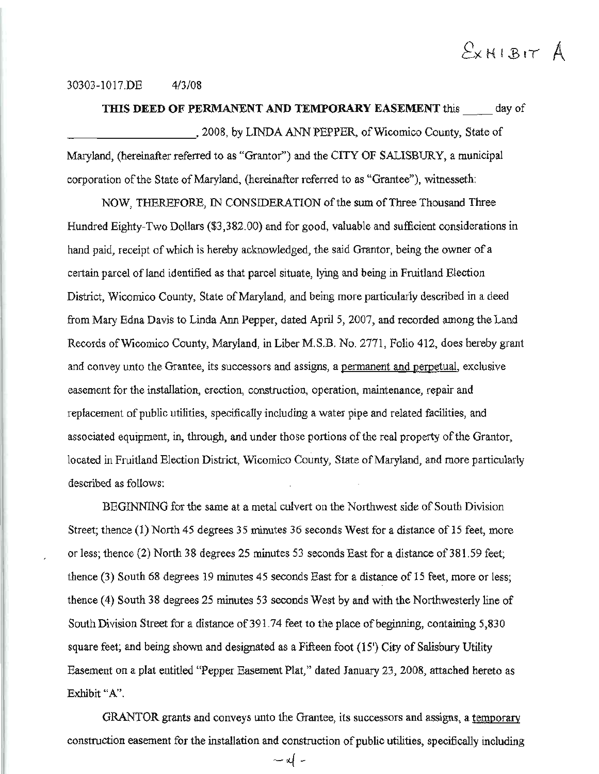# $E$ *X*HIBIT  $A$

#### 30303-1017.DE 4/3/08

**THIS DEED OF PERMANENT AND TEMPORARY EASEMENT** this day of \_\_\_\_\_\_\_\_\_ , 2008, by LINDA ANN PEPPER, of Wicomico County, State of Maryland, (hereinafter referred to as "Grantor") and the CITY OF SALISBURY, a municipal corporation of the State of Maryland, (hereinafter referred to as "Grantee"), witnesseth:

NOW, THEREFORE, IN CONSIDERATION of the sum of Three Thousand Three Hundred Eighty-Two Dollars (\$3,382.00) and for good, valuable and sufficient considerations in hand paid, receipt of which is hereby acknowledged, the said Grantor, being the owner of a certain parcel of land identified as that parcel situate, lying and being in Fruitland Election District, Wicomico County, State of Maryland, and being more particularly described in a deed from Mary Edna Davis to Linda Ann Pepper, dated April 5, 2007, and recorded among the Land Records of Wicomico County, Maryland, in Liber M.S.B. No. 2771, Folio 412, does hereby grant and convey unto the Grantee, its successors and assigns, a permanent and perpetual, exclusive easement for the installation, erection, construction, operation, maintenance, repair and replacement of public utilities, specifically including a water pipe and related facilities, and associated equipment, in, through, and under those portions of the real property of the Grantor, located in Fruitland Election District, Wicomico County, State of Maryland, and more particularly described as follows:

BEGINNING for the same at a metal culvert on the Northwest side of South Division Street; thence (1) North 45 degrees 35 minutes 36 seconds West for a distance of 15 feet, more or less; thence (2) North 38 degrees 25 minutes 53 seconds East for a distance of 381.59 feet; thence (3) South 68 degrees 19 minutes 45 seconds East for a distance of 15 feet, more or less; thence (4) South 38 degrees 25 minutes 53 seconds West by and with the Northwesterly line of South Division Street for a distance of 391.74 feet to the place of beginning, containing 5,830 square feet; and being shown and designated as a Fifteen foot (15<sup>'</sup>) City of Salisbury Utility Easement on a plat entitled "Pepper Easement Plat," dated January 23,2008, attached hereto as Exhibit "A".

GRANTOR grants and conveys unto the Grantee, its successors and assigns, a temporary construction easement for the installation and construction of public utilities, specifically including

 $-$  af  $-$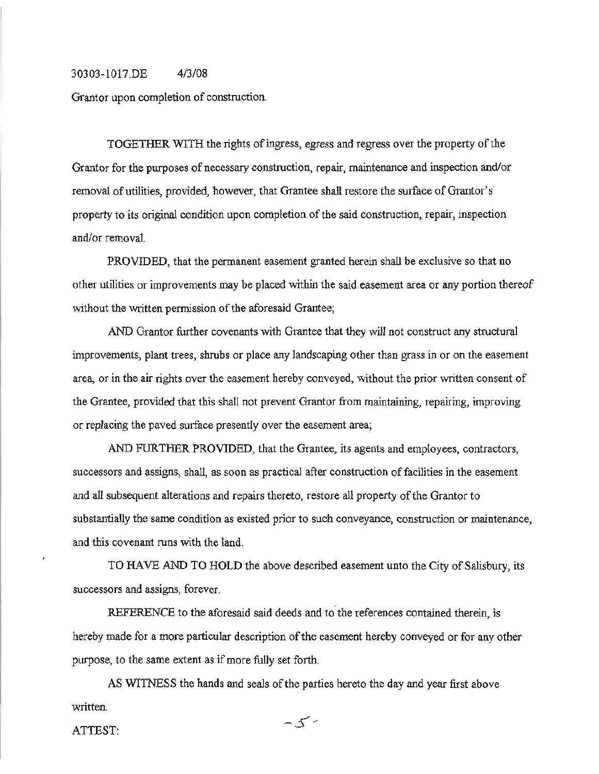#### 30303-1017.DE 4/3/08

Grantor upon completion of construction.

TOGETHER WITH the rights of ingress, egress and regress over the property of the Grantor for the purposes of necessary construction, repair, maintenance and inspection and/or removal of utilities, provided, however, that Grantee shall restore the surface of Grantor's property to its original condition upon completion of the said construction, repair, inspection and/or removal.

PROVIDED, that the permanent easement granted herein shall be exclusive so that no other utilities or improvements may be placed within the said easement area or any portion thereof without the written permission of the aforesaid Grantee;

AND Grantor further covenants with Grantee that they will not construct any structural improvements, plant trees, shrubs or place any landscaping other than grass in or on the easement area, or in the air rights over the easement hereby conveyed, without the prior written consent of the Grantee, provided that this shall not prevent Grantor from maintaining, repairing, improving or replacing the paved surface presently over the easement area;

AND FURTHER PROVIDED, that the Grantee, its agents and employees, contractors, successors and assigns, shall, as soon as practical after construction of facilities in the easement and all subsequent alterations and repairs thereto, restore all property of the Grantor to substantially the same condition as existed prior to such conveyance, construction or maintenance, and this covenant runs with the land.

TO HAVE AND TO HOLD the above described easement unto the City of Salisbury, its successors and assigns, forever.

REFERENCE to the aforesaid said deeds and to the references contained therein, is hereby made for a more particular description of the easement hereby conveyed or for any other purpose, to the same extent as if more fully set forth.

AS WITNESS the hands and seals of the parties hereto the day and year first above written.

ATTEST: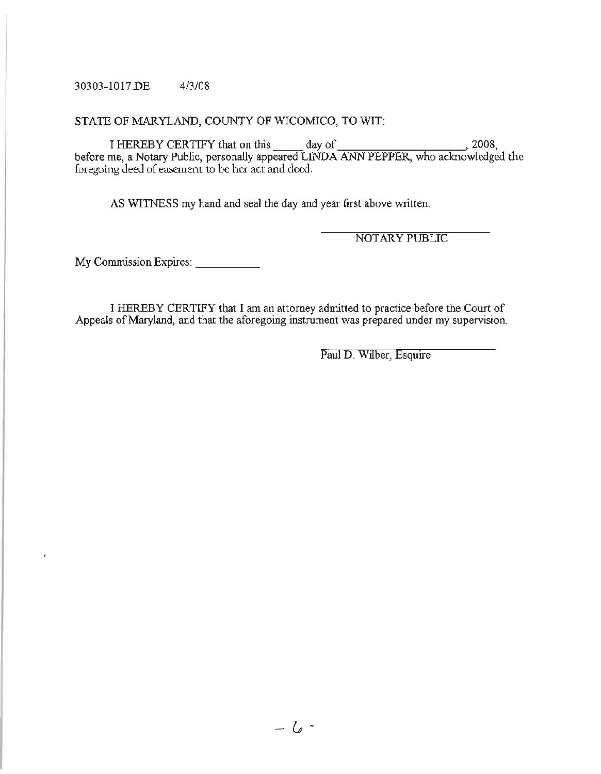### 30303-1017.DE 4/3/08

## STATE OF MARYLAND, COUNTY OF WICOMICO, TO WIT:

I HEREBY CERTIFY that on this day of  $\frac{1}{2008}$ , 2008, before me, a Notary Public, personally appeared LINDA ANN PEPPER, who acknowledged the foregoing deed of easement to be her act and deed.

AS WITNESS my hand and seal the day and year first above written.

NOTARY PUBLIC

My Commission Expires:

ï

I HEREBY CERTIFY that I am an attorney admitted to practice before the Court of Appeals of Maryland, and that the aforegoing instrument was prepared under my supervision.

Paul D. Wilber, Esquire